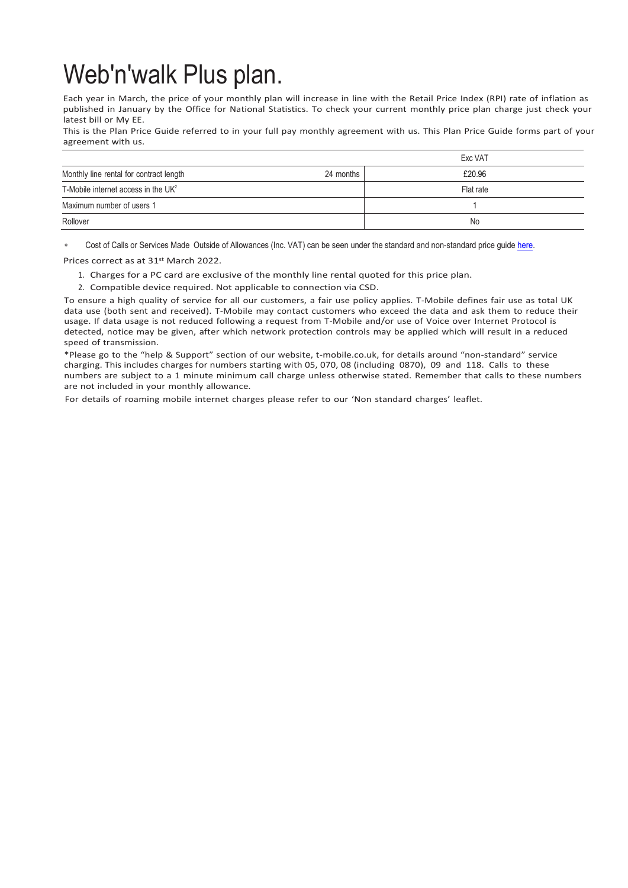## Web'n'walk Plus plan.

Each year in March, the price of your monthly plan will increase in line with the Retail Price Index (RPI) rate of inflation as published in January by the Office for National Statistics. To check your current monthly price plan charge just check your latest bill or My EE.

This is the Plan Price Guide referred to in your full pay monthly agreement with us. This Plan Price Guide forms part of your agreement with us.

|                                         |           | Exc VAT   |
|-----------------------------------------|-----------|-----------|
| Monthly line rental for contract length | 24 months | £20.96    |
| T-Mobile internet access in the $UK2$   |           | Flat rate |
| Maximum number of users 1               |           |           |
| Rollover                                |           | No        |

Cost of Calls or Services Made Outside of Allowances (Inc. VAT) can be seen under the standard and non-standard price quid[e here.](https://ee.co.uk/help/help-new/price-plans/legacy-brand/pay-monthly-price-plans)

Prices correct as at 31st March 2022.

- 1. Charges for a PC card are exclusive of the monthly line rental quoted for this price plan.
- 2. Compatible device required. Not applicable to connection via CSD.

To ensure a high quality of service for all our customers, a fair use policy applies. T-Mobile defines fair use as total UK data use (both sent and received). T-Mobile may contact customers who exceed the data and ask them to reduce their usage. If data usage is not reduced following a request from T-Mobile and/or use of Voice over Internet Protocol is detected, notice may be given, after which network protection controls may be applied which will result in a reduced speed of transmission.

\*Please go to the "help & Support" section of our website, t-mobile.co.uk, for details around "non-standard" service charging. This includes charges for numbers starting with 05, 070, 08 (including 0870), 09 and 118. Calls to these numbers are subject to a 1 minute minimum call charge unless otherwise stated. Remember that calls to these numbers are not included in your monthly allowance.

For details of roaming mobile internet charges please refer to our 'Non standard charges' leaflet.